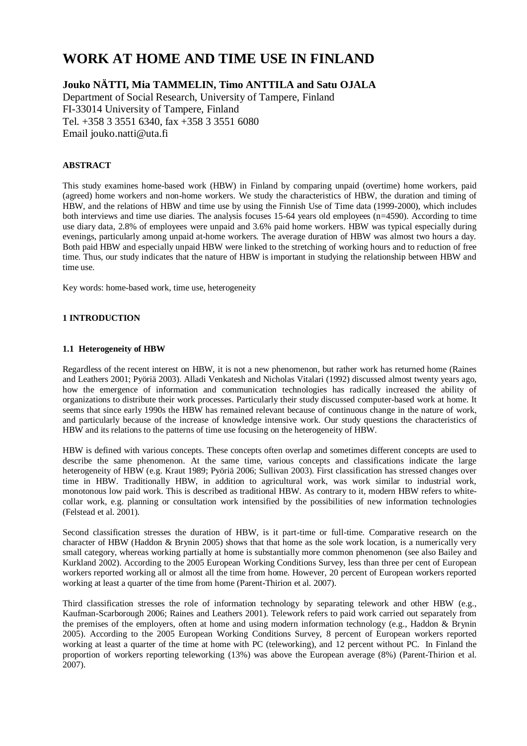# **WORK AT HOME AND TIME USE IN FINLAND**

# **Jouko NÄTTI, Mia TAMMELIN, Timo ANTTILA and Satu OJALA**

Department of Social Research, University of Tampere, Finland FI-33014 University of Tampere, Finland Tel. +358 3 3551 6340, fax +358 3 3551 6080 Email jouko.natti@uta.fi

## **ABSTRACT**

This study examines home-based work (HBW) in Finland by comparing unpaid (overtime) home workers, paid (agreed) home workers and non-home workers. We study the characteristics of HBW, the duration and timing of HBW, and the relations of HBW and time use by using the Finnish Use of Time data (1999-2000), which includes both interviews and time use diaries. The analysis focuses 15-64 years old employees (n=4590). According to time use diary data, 2.8% of employees were unpaid and 3.6% paid home workers. HBW was typical especially during evenings, particularly among unpaid at-home workers. The average duration of HBW was almost two hours a day. Both paid HBW and especially unpaid HBW were linked to the stretching of working hours and to reduction of free time. Thus, our study indicates that the nature of HBW is important in studying the relationship between HBW and time use.

Key words: home-based work, time use, heterogeneity

## **1 INTRODUCTION**

## **1.1 Heterogeneity of HBW**

Regardless of the recent interest on HBW, it is not a new phenomenon, but rather work has returned home (Raines and Leathers 2001; Pyöriä 2003). Alladi Venkatesh and Nicholas Vitalari (1992) discussed almost twenty years ago, how the emergence of information and communication technologies has radically increased the ability of organizations to distribute their work processes. Particularly their study discussed computer-based work at home. It seems that since early 1990s the HBW has remained relevant because of continuous change in the nature of work, and particularly because of the increase of knowledge intensive work. Our study questions the characteristics of HBW and its relations to the patterns of time use focusing on the heterogeneity of HBW.

HBW is defined with various concepts. These concepts often overlap and sometimes different concepts are used to describe the same phenomenon. At the same time, various concepts and classifications indicate the large heterogeneity of HBW (e.g. Kraut 1989; Pyöriä 2006; Sullivan 2003). First classification has stressed changes over time in HBW. Traditionally HBW, in addition to agricultural work, was work similar to industrial work, monotonous low paid work. This is described as traditional HBW. As contrary to it, modern HBW refers to whitecollar work, e.g. planning or consultation work intensified by the possibilities of new information technologies (Felstead et al. 2001).

Second classification stresses the duration of HBW, is it part-time or full-time. Comparative research on the character of HBW (Haddon & Brynin 2005) shows that that home as the sole work location, is a numerically very small category, whereas working partially at home is substantially more common phenomenon (see also Bailey and Kurkland 2002). According to the 2005 European Working Conditions Survey, less than three per cent of European workers reported working all or almost all the time from home. However, 20 percent of European workers reported working at least a quarter of the time from home (Parent-Thirion et al. 2007).

Third classification stresses the role of information technology by separating telework and other HBW (e.g., Kaufman-Scarborough 2006; Raines and Leathers 2001). Telework refers to paid work carried out separately from the premises of the employers, often at home and using modern information technology (e.g., Haddon & Brynin 2005). According to the 2005 European Working Conditions Survey, 8 percent of European workers reported working at least a quarter of the time at home with PC (teleworking), and 12 percent without PC. In Finland the proportion of workers reporting teleworking (13%) was above the European average (8%) (Parent-Thirion et al. 2007).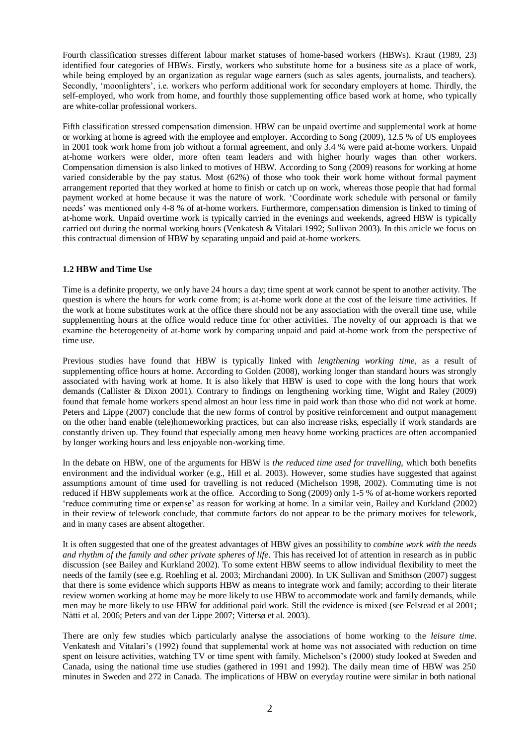Fourth classification stresses different labour market statuses of home-based workers (HBWs). Kraut (1989, 23) identified four categories of HBWs. Firstly, workers who substitute home for a business site as a place of work, while being employed by an organization as regular wage earners (such as sales agents, journalists, and teachers). Secondly, "moonlighters", i.e. workers who perform additional work for secondary employers at home. Thirdly, the self-employed, who work from home, and fourthly those supplementing office based work at home, who typically are white-collar professional workers.

Fifth classification stressed compensation dimension. HBW can be unpaid overtime and supplemental work at home or working at home is agreed with the employee and employer. According to Song (2009), 12.5 % of US employees in 2001 took work home from job without a formal agreement, and only 3.4 % were paid at-home workers. Unpaid at-home workers were older, more often team leaders and with higher hourly wages than other workers. Compensation dimension is also linked to motives of HBW. According to Song (2009) reasons for working at home varied considerable by the pay status. Most (62%) of those who took their work home without formal payment arrangement reported that they worked at home to finish or catch up on work, whereas those people that had formal payment worked at home because it was the nature of work. "Coordinate work schedule with personal or family needs" was mentioned only 4-8 % of at-home workers. Furthermore, compensation dimension is linked to timing of at-home work. Unpaid overtime work is typically carried in the evenings and weekends, agreed HBW is typically carried out during the normal working hours (Venkatesh & Vitalari 1992; Sullivan 2003). In this article we focus on this contractual dimension of HBW by separating unpaid and paid at-home workers.

## **1.2 HBW and Time Use**

Time is a definite property, we only have 24 hours a day; time spent at work cannot be spent to another activity. The question is where the hours for work come from; is at-home work done at the cost of the leisure time activities. If the work at home substitutes work at the office there should not be any association with the overall time use, while supplementing hours at the office would reduce time for other activities. The novelty of our approach is that we examine the heterogeneity of at-home work by comparing unpaid and paid at-home work from the perspective of time use.

Previous studies have found that HBW is typically linked with *lengthening working time,* as a result of supplementing office hours at home. According to Golden (2008), working longer than standard hours was strongly associated with having work at home. It is also likely that HBW is used to cope with the long hours that work demands (Callister & Dixon 2001). Contrary to findings on lengthening working time, Wight and Raley (2009) found that female home workers spend almost an hour less time in paid work than those who did not work at home. Peters and Lippe (2007) conclude that the new forms of control by positive reinforcement and output management on the other hand enable (tele)homeworking practices, but can also increase risks, especially if work standards are constantly driven up. They found that especially among men heavy home working practices are often accompanied by longer working hours and less enjoyable non-working time.

In the debate on HBW, one of the arguments for HBW is *the reduced time used for travelling,* which both benefits environment and the individual worker (e.g., Hill et al. 2003). However, some studies have suggested that against assumptions amount of time used for travelling is not reduced (Michelson 1998, 2002). Commuting time is not reduced if HBW supplements work at the office. According to Song (2009) only 1-5 % of at-home workers reported "reduce commuting time or expense" as reason for working at home. In a similar vein, Bailey and Kurkland (2002) in their review of telework conclude, that commute factors do not appear to be the primary motives for telework, and in many cases are absent altogether.

It is often suggested that one of the greatest advantages of HBW gives an possibility to *combine work with the needs and rhythm of the family and other private spheres of life*. This has received lot of attention in research as in public discussion (see Bailey and Kurkland 2002). To some extent HBW seems to allow individual flexibility to meet the needs of the family (see e.g. Roehling et al. 2003; Mirchandani 2000). In UK Sullivan and Smithson (2007) suggest that there is some evidence which supports HBW as means to integrate work and family; according to their literate review women working at home may be more likely to use HBW to accommodate work and family demands, while men may be more likely to use HBW for additional paid work. Still the evidence is mixed (see Felstead et al 2001; Nätti et al. 2006; Peters and van der Lippe 2007; Vittersø et al. 2003).

There are only few studies which particularly analyse the associations of home working to the *leisure time*. Venkatesh and Vitalari"s (1992) found that supplemental work at home was not associated with reduction on time spent on leisure activities, watching TV or time spent with family. Michelson"s (2000) study looked at Sweden and Canada, using the national time use studies (gathered in 1991 and 1992). The daily mean time of HBW was 250 minutes in Sweden and 272 in Canada. The implications of HBW on everyday routine were similar in both national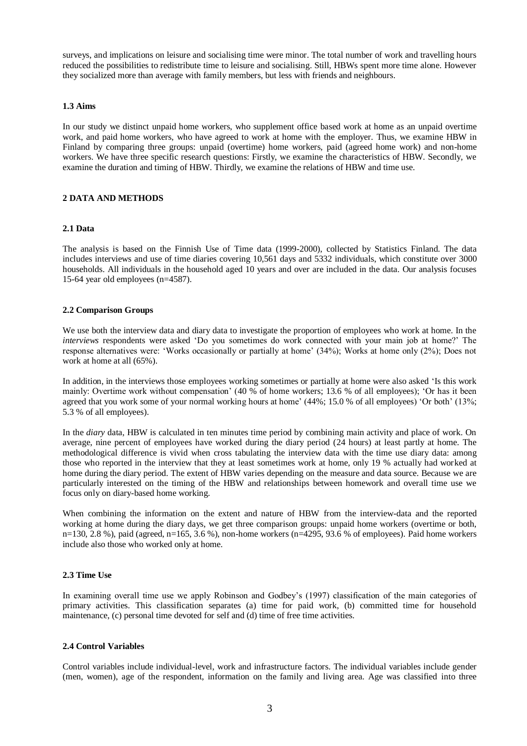surveys, and implications on leisure and socialising time were minor. The total number of work and travelling hours reduced the possibilities to redistribute time to leisure and socialising. Still, HBWs spent more time alone. However they socialized more than average with family members, but less with friends and neighbours.

## **1.3 Aims**

In our study we distinct unpaid home workers, who supplement office based work at home as an unpaid overtime work, and paid home workers, who have agreed to work at home with the employer. Thus, we examine HBW in Finland by comparing three groups: unpaid (overtime) home workers, paid (agreed home work) and non-home workers. We have three specific research questions: Firstly, we examine the characteristics of HBW. Secondly, we examine the duration and timing of HBW. Thirdly, we examine the relations of HBW and time use.

#### **2 DATA AND METHODS**

#### **2.1 Data**

The analysis is based on the Finnish Use of Time data (1999-2000), collected by Statistics Finland. The data includes interviews and use of time diaries covering 10,561 days and 5332 individuals, which constitute over 3000 households. All individuals in the household aged 10 years and over are included in the data. Our analysis focuses 15-64 year old employees (n=4587).

## **2.2 Comparison Groups**

We use both the interview data and diary data to investigate the proportion of employees who work at home. In the *interviews* respondents were asked "Do you sometimes do work connected with your main job at home?" The response alternatives were: "Works occasionally or partially at home" (34%); Works at home only (2%); Does not work at home at all (65%).

In addition, in the interviews those employees working sometimes or partially at home were also asked "Is this work mainly: Overtime work without compensation" (40 % of home workers; 13.6 % of all employees); "Or has it been agreed that you work some of your normal working hours at home' (44%; 15.0 % of all employees) 'Or both' (13%; 5.3 % of all employees).

In the *diary* data, HBW is calculated in ten minutes time period by combining main activity and place of work. On average, nine percent of employees have worked during the diary period (24 hours) at least partly at home. The methodological difference is vivid when cross tabulating the interview data with the time use diary data: among those who reported in the interview that they at least sometimes work at home, only 19 % actually had worked at home during the diary period. The extent of HBW varies depending on the measure and data source. Because we are particularly interested on the timing of the HBW and relationships between homework and overall time use we focus only on diary-based home working.

When combining the information on the extent and nature of HBW from the interview-data and the reported working at home during the diary days, we get three comparison groups: unpaid home workers (overtime or both, n=130, 2.8 %), paid (agreed, n=165, 3.6 %), non-home workers (n=4295, 93.6 % of employees). Paid home workers include also those who worked only at home.

#### **2.3 Time Use**

In examining overall time use we apply Robinson and Godbey's (1997) classification of the main categories of primary activities. This classification separates (a) time for paid work, (b) committed time for household maintenance, (c) personal time devoted for self and (d) time of free time activities.

## **2.4 Control Variables**

Control variables include individual-level, work and infrastructure factors. The individual variables include gender (men, women), age of the respondent, information on the family and living area. Age was classified into three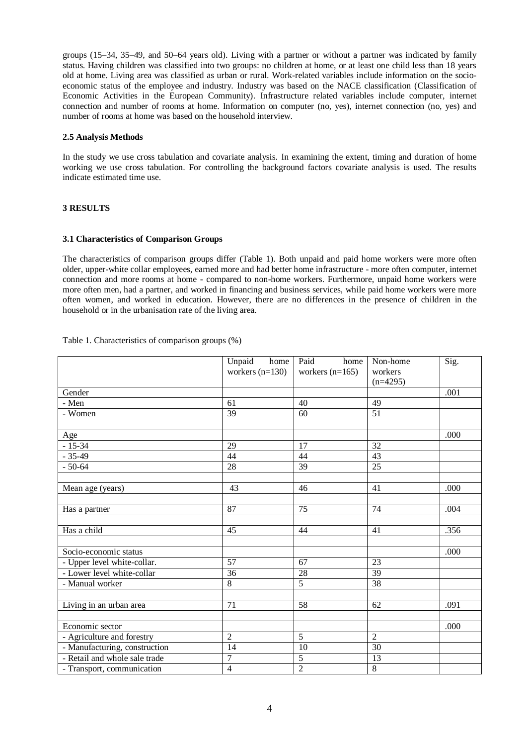groups (15–34, 35–49, and 50–64 years old). Living with a partner or without a partner was indicated by family status. Having children was classified into two groups: no children at home, or at least one child less than 18 years old at home. Living area was classified as urban or rural. Work-related variables include information on the socioeconomic status of the employee and industry. Industry was based on the NACE classification (Classification of Economic Activities in the European Community). Infrastructure related variables include computer, internet connection and number of rooms at home. Information on computer (no, yes), internet connection (no, yes) and number of rooms at home was based on the household interview.

## **2.5 Analysis Methods**

In the study we use cross tabulation and covariate analysis. In examining the extent, timing and duration of home working we use cross tabulation. For controlling the background factors covariate analysis is used. The results indicate estimated time use.

## **3 RESULTS**

## **3.1 Characteristics of Comparison Groups**

The characteristics of comparison groups differ (Table 1). Both unpaid and paid home workers were more often older, upper-white collar employees, earned more and had better home infrastructure - more often computer, internet connection and more rooms at home - compared to non-home workers. Furthermore, unpaid home workers were more often men, had a partner, and worked in financing and business services, while paid home workers were more often women, and worked in education. However, there are no differences in the presence of children in the household or in the urbanisation rate of the living area.

|                               | Unpaid home<br>workers $(n=130)$ | Paid<br>home<br>workers $(n=165)$ | Non-home<br>workers | Sig. |
|-------------------------------|----------------------------------|-----------------------------------|---------------------|------|
|                               |                                  |                                   | $(n=4295)$          |      |
| Gender                        |                                  |                                   |                     | .001 |
| - Men                         | 61                               | 40                                | 49                  |      |
| - Women                       | 39                               | 60                                | 51                  |      |
| Age                           |                                  |                                   |                     | .000 |
| $-15-34$                      | 29                               | 17                                | 32                  |      |
| $-35-49$                      | 44                               | 44                                | 43                  |      |
| $-50-64$                      | 28                               | $\overline{39}$                   | 25                  |      |
| Mean age (years)              | 43                               | 46                                | 41                  | .000 |
| Has a partner                 | $\overline{87}$                  | $\overline{75}$                   | $\overline{74}$     | .004 |
| Has a child                   | 45                               | 44                                | 41                  | .356 |
| Socio-economic status         |                                  |                                   |                     | .000 |
| - Upper level white-collar.   | 57                               | 67                                | 23                  |      |
| - Lower level white-collar    | 36                               | 28                                | 39                  |      |
| - Manual worker               | 8                                | $\overline{5}$                    | 38                  |      |
| Living in an urban area       | 71                               | 58                                | 62                  | .091 |
|                               |                                  |                                   |                     |      |
| Economic sector               |                                  |                                   |                     | .000 |
| - Agriculture and forestry    | $\overline{2}$                   | $\overline{5}$                    | $\overline{2}$      |      |
| - Manufacturing, construction | $\overline{14}$                  | $\overline{10}$                   | 30                  |      |
| - Retail and whole sale trade | $\overline{7}$                   | $\overline{5}$                    | 13                  |      |
| - Transport, communication    | $\overline{\mathcal{L}}$         | $\overline{2}$                    | $\overline{8}$      |      |

Table 1. Characteristics of comparison groups (%)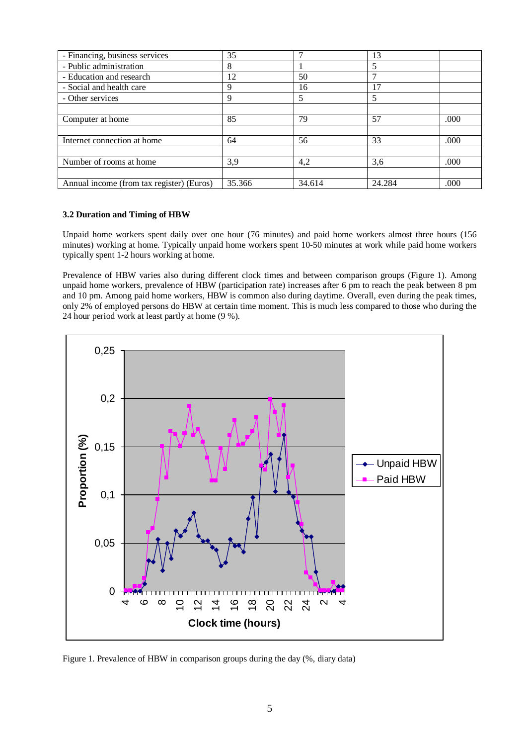| - Financing, business services            | 35     | −      | 13     |      |
|-------------------------------------------|--------|--------|--------|------|
| - Public administration                   | 8      |        | 5      |      |
| - Education and research                  | 12     | 50     |        |      |
| - Social and health care                  | 9      | 16     | 17     |      |
| - Other services                          | 9      | 5      | 5      |      |
|                                           |        |        |        |      |
| Computer at home                          | 85     | 79     | 57     | .000 |
|                                           |        |        |        |      |
| Internet connection at home               | 64     | 56     | 33     | .000 |
|                                           |        |        |        |      |
| Number of rooms at home                   | 3,9    | 4,2    | 3,6    | .000 |
|                                           |        |        |        |      |
| Annual income (from tax register) (Euros) | 35.366 | 34.614 | 24.284 | .000 |

## **3.2 Duration and Timing of HBW**

Unpaid home workers spent daily over one hour (76 minutes) and paid home workers almost three hours (156 minutes) working at home. Typically unpaid home workers spent 10-50 minutes at work while paid home workers typically spent 1-2 hours working at home.

Prevalence of HBW varies also during different clock times and between comparison groups (Figure 1). Among unpaid home workers, prevalence of HBW (participation rate) increases after 6 pm to reach the peak between 8 pm and 10 pm. Among paid home workers, HBW is common also during daytime. Overall, even during the peak times, only 2% of employed persons do HBW at certain time moment. This is much less compared to those who during the 24 hour period work at least partly at home (9 %).



Figure 1. Prevalence of HBW in comparison groups during the day (%, diary data)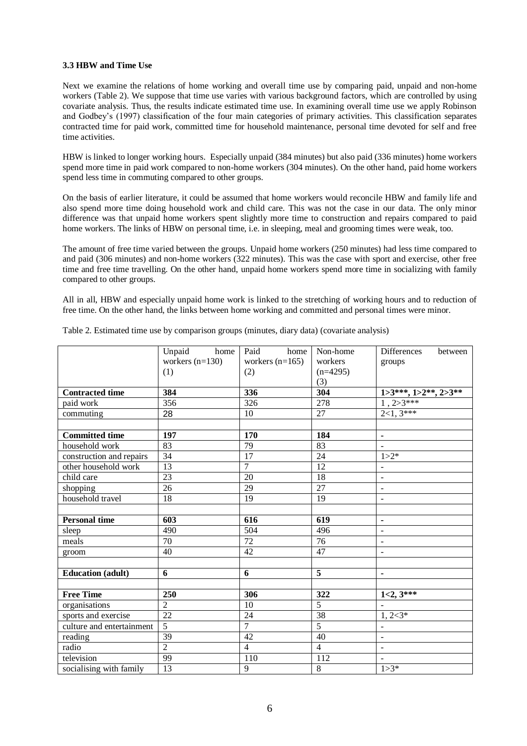## **3.3 HBW and Time Use**

Next we examine the relations of home working and overall time use by comparing paid, unpaid and non-home workers (Table 2). We suppose that time use varies with various background factors, which are controlled by using covariate analysis. Thus, the results indicate estimated time use. In examining overall time use we apply Robinson and Godbey"s (1997) classification of the four main categories of primary activities. This classification separates contracted time for paid work, committed time for household maintenance, personal time devoted for self and free time activities.

HBW is linked to longer working hours. Especially unpaid (384 minutes) but also paid (336 minutes) home workers spend more time in paid work compared to non-home workers (304 minutes). On the other hand, paid home workers spend less time in commuting compared to other groups.

On the basis of earlier literature, it could be assumed that home workers would reconcile HBW and family life and also spend more time doing household work and child care. This was not the case in our data. The only minor difference was that unpaid home workers spent slightly more time to construction and repairs compared to paid home workers. The links of HBW on personal time, i.e. in sleeping, meal and grooming times were weak, too.

The amount of free time varied between the groups. Unpaid home workers (250 minutes) had less time compared to and paid (306 minutes) and non-home workers (322 minutes). This was the case with sport and exercise, other free time and free time travelling. On the other hand, unpaid home workers spend more time in socializing with family compared to other groups.

All in all, HBW and especially unpaid home work is linked to the stretching of working hours and to reduction of free time. On the other hand, the links between home working and committed and personal times were minor.

|                           | Unpaid<br>home    | Paid<br>home      | Non-home        | <b>Differences</b><br>between |
|---------------------------|-------------------|-------------------|-----------------|-------------------------------|
|                           | workers $(n=130)$ | workers $(n=165)$ | workers         | groups                        |
|                           | (1)               | (2)               | $(n=4295)$      |                               |
|                           |                   |                   | (3)             |                               |
| <b>Contracted time</b>    | 384               | 336               | 304             | $1>3***$ , $1>2**$ , $2>3**$  |
| paid work                 | 356               | 326               | 278             | $1,2>3***$                    |
| commuting                 | 28                | 10                | 27              | $2\overline{<1,3^{***}}$      |
|                           |                   |                   |                 |                               |
| <b>Committed time</b>     | 197               | 170               | 184             | $\blacksquare$                |
| household work            | 83                | 79                | 83              |                               |
| construction and repairs  | $\overline{34}$   | 17                | 24              | $1 > 2*$                      |
| other household work      | 13                | $\overline{7}$    | 12              |                               |
| child care                | 23                | $\overline{20}$   | $\overline{18}$ | $\overline{\phantom{a}}$      |
| shopping                  | 26                | 29                | 27              | $\blacksquare$                |
| household travel          | $\overline{18}$   | $\overline{19}$   | 19              | $\overline{a}$                |
|                           |                   |                   |                 |                               |
| <b>Personal time</b>      | 603               | 616               | 619             | $\blacksquare$                |
| sleep                     | 490               | $\overline{504}$  | 496             | $\overline{a}$                |
| meals                     | 70                | 72                | 76              | $\overline{\phantom{a}}$      |
| groom                     | 40                | $\overline{42}$   | 47              | ÷,                            |
|                           |                   |                   |                 |                               |
| <b>Education</b> (adult)  | 6                 | 6                 | 5               | $\blacksquare$                |
|                           |                   |                   |                 |                               |
| <b>Free Time</b>          | 250               | 306               | 322             | $1<2, 3***$                   |
| organisations             | $\overline{2}$    | $\overline{10}$   | $\overline{5}$  |                               |
| sports and exercise       | $\overline{22}$   | 24                | 38              | $1, 2 < 3^*$                  |
| culture and entertainment | $\overline{5}$    | $\overline{7}$    | $\overline{5}$  |                               |
| reading                   | $\overline{39}$   | $\overline{42}$   | $\overline{40}$ | $\blacksquare$                |
| radio                     | $\overline{2}$    | $\overline{4}$    | $\overline{4}$  | $\blacksquare$                |
| television                | $\overline{99}$   | 110               | 112             | $\overline{a}$                |
| socialising with family   | 13                | 9                 | $8\,$           | $1 > 3*$                      |

Table 2. Estimated time use by comparison groups (minutes, diary data) (covariate analysis)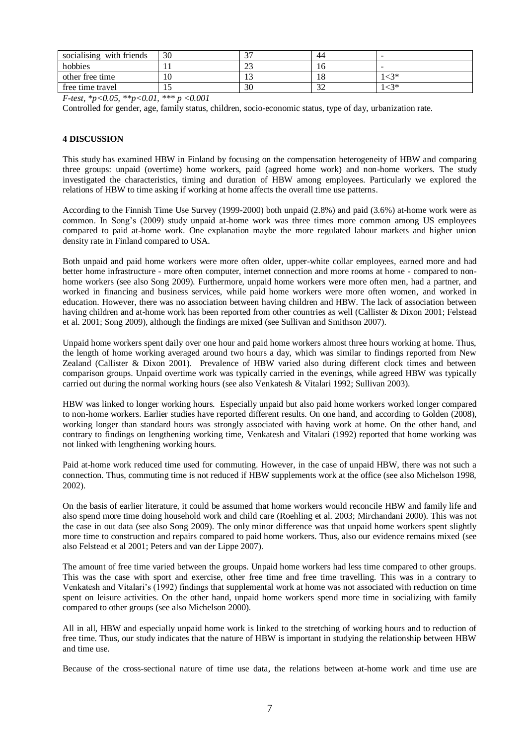| socialising with friends | 30 | $\sim$ | 44  | -                        |
|--------------------------|----|--------|-----|--------------------------|
| hobbies                  |    | ل ک    | 10  | $\overline{\phantom{a}}$ |
| other free time          | ιv | ن د    | 18  | $-3*$                    |
| free time travel         |    | 30     | ے ر | $-3*$                    |

*F-test, \*p<0.05, \*\*p<0.01, \*\*\* p <0.001*

Controlled for gender, age, family status, children, socio-economic status, type of day, urbanization rate.

## **4 DISCUSSION**

This study has examined HBW in Finland by focusing on the compensation heterogeneity of HBW and comparing three groups: unpaid (overtime) home workers, paid (agreed home work) and non-home workers. The study investigated the characteristics, timing and duration of HBW among employees. Particularly we explored the relations of HBW to time asking if working at home affects the overall time use patterns.

According to the Finnish Time Use Survey (1999-2000) both unpaid (2.8%) and paid (3.6%) at-home work were as common. In Song's (2009) study unpaid at-home work was three times more common among US employees compared to paid at-home work. One explanation maybe the more regulated labour markets and higher union density rate in Finland compared to USA.

Both unpaid and paid home workers were more often older, upper-white collar employees, earned more and had better home infrastructure - more often computer, internet connection and more rooms at home - compared to nonhome workers (see also Song 2009). Furthermore, unpaid home workers were more often men, had a partner, and worked in financing and business services, while paid home workers were more often women, and worked in education. However, there was no association between having children and HBW. The lack of association between having children and at-home work has been reported from other countries as well (Callister & Dixon 2001; Felstead et al. 2001; Song 2009), although the findings are mixed (see Sullivan and Smithson 2007).

Unpaid home workers spent daily over one hour and paid home workers almost three hours working at home. Thus, the length of home working averaged around two hours a day, which was similar to findings reported from New Zealand (Callister & Dixon 2001). Prevalence of HBW varied also during different clock times and between comparison groups. Unpaid overtime work was typically carried in the evenings, while agreed HBW was typically carried out during the normal working hours (see also Venkatesh & Vitalari 1992; Sullivan 2003).

HBW was linked to longer working hours. Especially unpaid but also paid home workers worked longer compared to non-home workers. Earlier studies have reported different results. On one hand, and according to Golden (2008), working longer than standard hours was strongly associated with having work at home. On the other hand, and contrary to findings on lengthening working time, Venkatesh and Vitalari (1992) reported that home working was not linked with lengthening working hours.

Paid at-home work reduced time used for commuting. However, in the case of unpaid HBW, there was not such a connection. Thus, commuting time is not reduced if HBW supplements work at the office (see also Michelson 1998, 2002).

On the basis of earlier literature, it could be assumed that home workers would reconcile HBW and family life and also spend more time doing household work and child care (Roehling et al. 2003; Mirchandani 2000). This was not the case in out data (see also Song 2009). The only minor difference was that unpaid home workers spent slightly more time to construction and repairs compared to paid home workers. Thus, also our evidence remains mixed (see also Felstead et al 2001; Peters and van der Lippe 2007).

The amount of free time varied between the groups. Unpaid home workers had less time compared to other groups. This was the case with sport and exercise, other free time and free time travelling. This was in a contrary to Venkatesh and Vitalari"s (1992) findings that supplemental work at home was not associated with reduction on time spent on leisure activities. On the other hand, unpaid home workers spend more time in socializing with family compared to other groups (see also Michelson 2000).

All in all, HBW and especially unpaid home work is linked to the stretching of working hours and to reduction of free time. Thus, our study indicates that the nature of HBW is important in studying the relationship between HBW and time use.

Because of the cross-sectional nature of time use data, the relations between at-home work and time use are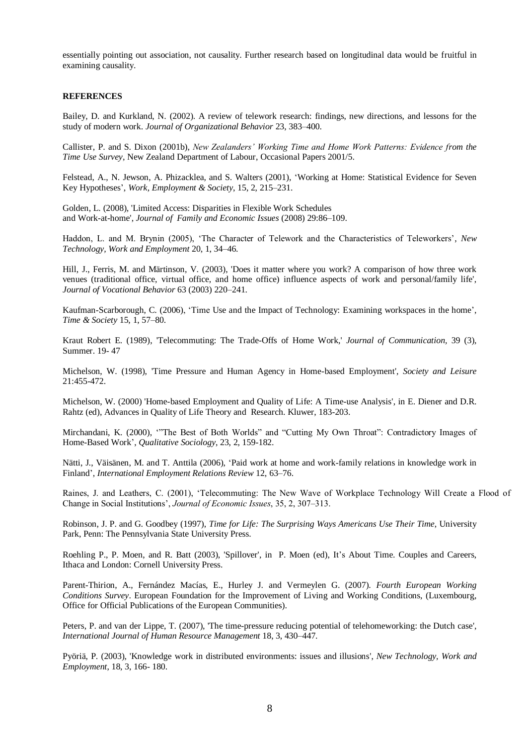essentially pointing out association, not causality. Further research based on longitudinal data would be fruitful in examining causality.

## **REFERENCES**

Bailey, D. and Kurkland, N. (2002). A review of telework research: findings, new directions, and lessons for the study of modern work. *Journal of Organizational Behavior* 23, 383–400.

Callister, P. and S. Dixon (2001b), *New Zealanders' Working Time and Home Work Patterns: Evidence from the Time Use Survey*, New Zealand Department of Labour, Occasional Papers 2001/5.

Felstead, A., N. Jewson, A. Phizacklea, and S. Walters (2001), "Working at Home: Statistical Evidence for Seven Key Hypotheses", *Work, Employment & Society*, 15, 2, 215–231.

Golden, L. (2008), 'Limited Access: Disparities in Flexible Work Schedules and Work-at-home', *Journal of Family and Economic Issues* (2008) 29:86–109.

Haddon, L. and M. Brynin (2005), "The Character of Telework and the Characteristics of Teleworkers", *New Technology, Work and Employment* 20, 1, 34–46.

Hill, J., Ferris, M. and Märtinson, V. (2003), 'Does it matter where you work? A comparison of how three work venues (traditional office, virtual office, and home office) influence aspects of work and personal/family life', *Journal of Vocational Behavior* 63 (2003) 220–241.

Kaufman-Scarborough, C. (2006), 'Time Use and the Impact of Technology: Examining workspaces in the home', *Time & Society* 15, 1, 57–80.

Kraut Robert E. (1989), 'Telecommuting: The Trade-Offs of Home Work,' *Journal of Communication,* 39 (3), Summer. 19- 47

Michelson, W. (1998), 'Time Pressure and Human Agency in Home-based Employment', *Society and Leisure* 21:455-472.

Michelson, W. (2000) 'Home-based Employment and Quality of Life: A Time-use Analysis', in E. Diener and D.R. Rahtz (ed), Advances in Quality of Life Theory and Research. Kluwer, 183-203.

Mirchandani, K. (2000), ""The Best of Both Worlds" and "Cutting My Own Throat": Contradictory Images of Home-Based Work", *Qualitative Sociology*, 23, 2, 159-182.

Nätti, J., Väisänen, M. and T. Anttila (2006), "Paid work at home and work-family relations in knowledge work in Finland", *International Employment Relations Review* 12, 63–76.

Raines, J. and Leathers, C. (2001), 'Telecommuting: The New Wave of Workplace Technology Will Create a Flood of Change in Social Institutions', *Journal of Economic Issues*, 35, 2, 307–313.

Robinson, J. P. and G. Goodbey (1997), *Time for Life: The Surprising Ways Americans Use Their Time*, University Park, Penn: The Pennsylvania State University Press.

Roehling P., P. Moen, and R. Batt (2003), 'Spillover', in P. Moen (ed), It"s About Time. Couples and Careers, Ithaca and London: Cornell University Press.

Parent-Thirion, A., Fernández Macías, E., Hurley J. and Vermeylen G. (2007). *Fourth European Working Conditions Survey*. European Foundation for the Improvement of Living and Working Conditions, (Luxembourg, Office for Official Publications of the European Communities).

Peters, P. and van der Lippe, T. (2007), 'The time-pressure reducing potential of telehomeworking: the Dutch case', *International Journal of Human Resource Management* 18, 3, 430–447.

Pyöriä, P. (2003), 'Knowledge work in distributed environments: issues and illusions', *New Technology, Work and Employment*, 18, 3, 166- 180.